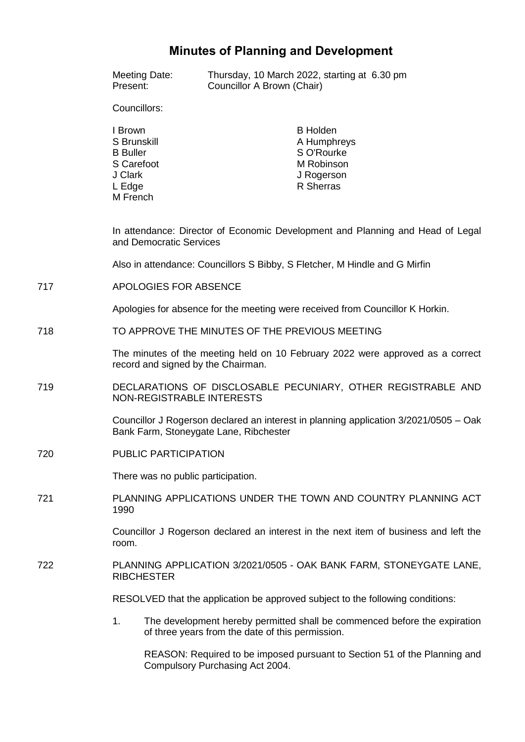# **Minutes of Planning and Development**

|     | Present:                                                                                                                       | Meeting Date:           | Councillor A Brown (Chair)                       | Thursday, 10 March 2022, starting at 6.30 pm                                          |  |
|-----|--------------------------------------------------------------------------------------------------------------------------------|-------------------------|--------------------------------------------------|---------------------------------------------------------------------------------------|--|
|     | Councillors:                                                                                                                   |                         |                                                  |                                                                                       |  |
|     | I Brown<br>S Brunskill<br><b>B</b> Buller<br>S Carefoot<br>J Clark<br>L Edge<br>M French                                       |                         |                                                  | <b>B</b> Holden<br>A Humphreys<br>S O'Rourke<br>M Robinson<br>J Rogerson<br>R Sherras |  |
|     |                                                                                                                                | and Democratic Services |                                                  | In attendance: Director of Economic Development and Planning and Head of Legal        |  |
|     | Also in attendance: Councillors S Bibby, S Fletcher, M Hindle and G Mirfin                                                     |                         |                                                  |                                                                                       |  |
| 717 | APOLOGIES FOR ABSENCE                                                                                                          |                         |                                                  |                                                                                       |  |
|     | Apologies for absence for the meeting were received from Councillor K Horkin.                                                  |                         |                                                  |                                                                                       |  |
| 718 | TO APPROVE THE MINUTES OF THE PREVIOUS MEETING                                                                                 |                         |                                                  |                                                                                       |  |
|     | The minutes of the meeting held on 10 February 2022 were approved as a correct<br>record and signed by the Chairman.           |                         |                                                  |                                                                                       |  |
| 719 | DECLARATIONS OF DISCLOSABLE PECUNIARY, OTHER REGISTRABLE AND<br>NON-REGISTRABLE INTERESTS                                      |                         |                                                  |                                                                                       |  |
|     | Councillor J Rogerson declared an interest in planning application 3/2021/0505 - Oak<br>Bank Farm, Stoneygate Lane, Ribchester |                         |                                                  |                                                                                       |  |
| 720 | PUBLIC PARTICIPATION                                                                                                           |                         |                                                  |                                                                                       |  |
|     | There was no public participation.                                                                                             |                         |                                                  |                                                                                       |  |
| 721 | PLANNING APPLICATIONS UNDER THE TOWN AND COUNTRY PLANNING ACT<br>1990                                                          |                         |                                                  |                                                                                       |  |
|     | Councillor J Rogerson declared an interest in the next item of business and left the<br>room.                                  |                         |                                                  |                                                                                       |  |
| 722 | PLANNING APPLICATION 3/2021/0505 - OAK BANK FARM, STONEYGATE LANE,<br><b>RIBCHESTER</b>                                        |                         |                                                  |                                                                                       |  |
|     | RESOLVED that the application be approved subject to the following conditions:                                                 |                         |                                                  |                                                                                       |  |
|     | 1.                                                                                                                             |                         | of three years from the date of this permission. | The development hereby permitted shall be commenced before the expiration             |  |
|     |                                                                                                                                |                         |                                                  |                                                                                       |  |

REASON: Required to be imposed pursuant to Section 51 of the Planning and Compulsory Purchasing Act 2004.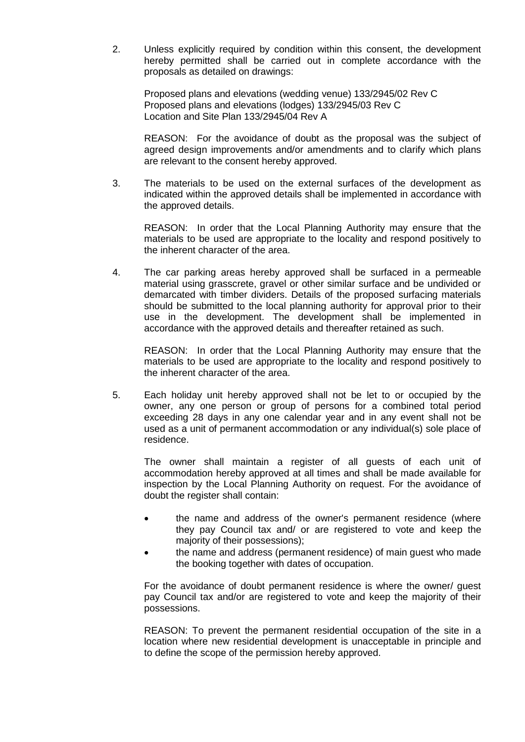2. Unless explicitly required by condition within this consent, the development hereby permitted shall be carried out in complete accordance with the proposals as detailed on drawings:

Proposed plans and elevations (wedding venue) 133/2945/02 Rev C Proposed plans and elevations (lodges) 133/2945/03 Rev C Location and Site Plan 133/2945/04 Rev A

REASON: For the avoidance of doubt as the proposal was the subject of agreed design improvements and/or amendments and to clarify which plans are relevant to the consent hereby approved.

3. The materials to be used on the external surfaces of the development as indicated within the approved details shall be implemented in accordance with the approved details.

REASON: In order that the Local Planning Authority may ensure that the materials to be used are appropriate to the locality and respond positively to the inherent character of the area.

4. The car parking areas hereby approved shall be surfaced in a permeable material using grasscrete, gravel or other similar surface and be undivided or demarcated with timber dividers. Details of the proposed surfacing materials should be submitted to the local planning authority for approval prior to their use in the development. The development shall be implemented in accordance with the approved details and thereafter retained as such.

REASON: In order that the Local Planning Authority may ensure that the materials to be used are appropriate to the locality and respond positively to the inherent character of the area.

5. Each holiday unit hereby approved shall not be let to or occupied by the owner, any one person or group of persons for a combined total period exceeding 28 days in any one calendar year and in any event shall not be used as a unit of permanent accommodation or any individual(s) sole place of residence.

The owner shall maintain a register of all guests of each unit of accommodation hereby approved at all times and shall be made available for inspection by the Local Planning Authority on request. For the avoidance of doubt the register shall contain:

- the name and address of the owner's permanent residence (where they pay Council tax and/ or are registered to vote and keep the majority of their possessions);
- the name and address (permanent residence) of main guest who made the booking together with dates of occupation.

For the avoidance of doubt permanent residence is where the owner/ guest pay Council tax and/or are registered to vote and keep the majority of their possessions.

REASON: To prevent the permanent residential occupation of the site in a location where new residential development is unacceptable in principle and to define the scope of the permission hereby approved.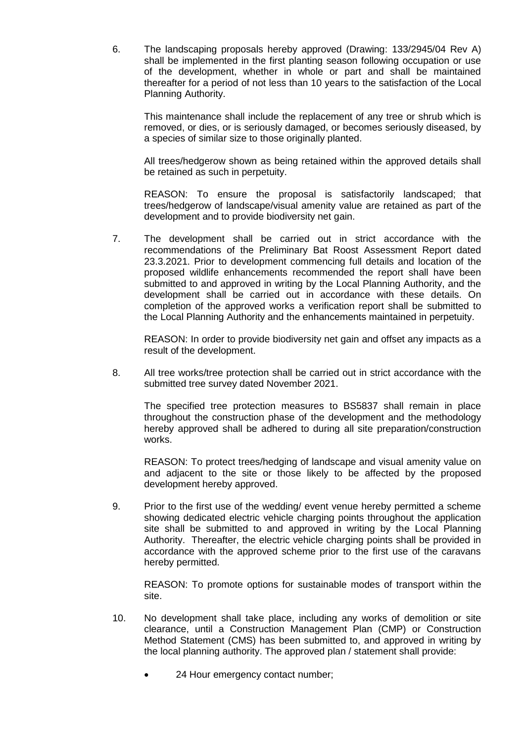6. The landscaping proposals hereby approved (Drawing: 133/2945/04 Rev A) shall be implemented in the first planting season following occupation or use of the development, whether in whole or part and shall be maintained thereafter for a period of not less than 10 years to the satisfaction of the Local Planning Authority.

This maintenance shall include the replacement of any tree or shrub which is removed, or dies, or is seriously damaged, or becomes seriously diseased, by a species of similar size to those originally planted.

All trees/hedgerow shown as being retained within the approved details shall be retained as such in perpetuity.

REASON: To ensure the proposal is satisfactorily landscaped; that trees/hedgerow of landscape/visual amenity value are retained as part of the development and to provide biodiversity net gain.

7. The development shall be carried out in strict accordance with the recommendations of the Preliminary Bat Roost Assessment Report dated 23.3.2021. Prior to development commencing full details and location of the proposed wildlife enhancements recommended the report shall have been submitted to and approved in writing by the Local Planning Authority, and the development shall be carried out in accordance with these details. On completion of the approved works a verification report shall be submitted to the Local Planning Authority and the enhancements maintained in perpetuity.

REASON: In order to provide biodiversity net gain and offset any impacts as a result of the development.

8. All tree works/tree protection shall be carried out in strict accordance with the submitted tree survey dated November 2021.

The specified tree protection measures to BS5837 shall remain in place throughout the construction phase of the development and the methodology hereby approved shall be adhered to during all site preparation/construction works.

REASON: To protect trees/hedging of landscape and visual amenity value on and adjacent to the site or those likely to be affected by the proposed development hereby approved.

9. Prior to the first use of the wedding/ event venue hereby permitted a scheme showing dedicated electric vehicle charging points throughout the application site shall be submitted to and approved in writing by the Local Planning Authority. Thereafter, the electric vehicle charging points shall be provided in accordance with the approved scheme prior to the first use of the caravans hereby permitted.

REASON: To promote options for sustainable modes of transport within the site.

- 10. No development shall take place, including any works of demolition or site clearance, until a Construction Management Plan (CMP) or Construction Method Statement (CMS) has been submitted to, and approved in writing by the local planning authority. The approved plan / statement shall provide:
	- 24 Hour emergency contact number;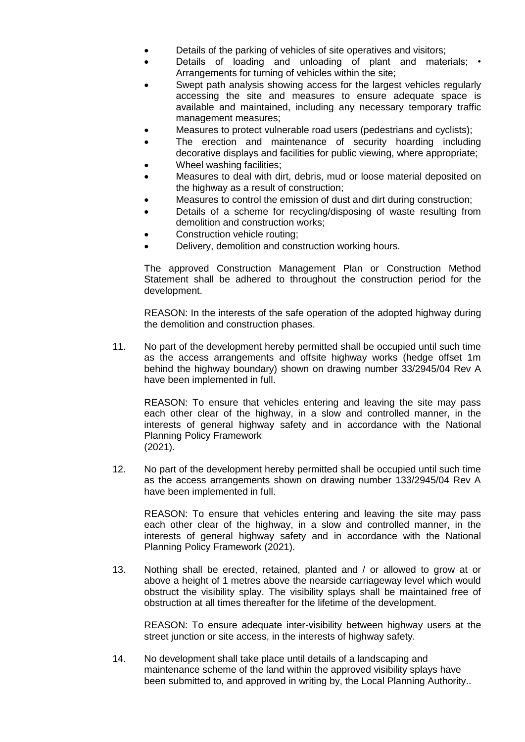- Details of the parking of vehicles of site operatives and visitors;
- Details of loading and unloading of plant and materials; Arrangements for turning of vehicles within the site;
- Swept path analysis showing access for the largest vehicles regularly accessing the site and measures to ensure adequate space is available and maintained, including any necessary temporary traffic management measures;
- Measures to protect vulnerable road users (pedestrians and cyclists);
- The erection and maintenance of security hoarding including decorative displays and facilities for public viewing, where appropriate;
- Wheel washing facilities;
- Measures to deal with dirt, debris, mud or loose material deposited on the highway as a result of construction;
- Measures to control the emission of dust and dirt during construction;
- Details of a scheme for recycling/disposing of waste resulting from demolition and construction works;
- Construction vehicle routing;
- Delivery, demolition and construction working hours.

The approved Construction Management Plan or Construction Method Statement shall be adhered to throughout the construction period for the development.

REASON: In the interests of the safe operation of the adopted highway during the demolition and construction phases.

11. No part of the development hereby permitted shall be occupied until such time as the access arrangements and offsite highway works (hedge offset 1m behind the highway boundary) shown on drawing number 33/2945/04 Rev A have been implemented in full.

REASON: To ensure that vehicles entering and leaving the site may pass each other clear of the highway, in a slow and controlled manner, in the interests of general highway safety and in accordance with the National Planning Policy Framework (2021).

12. No part of the development hereby permitted shall be occupied until such time as the access arrangements shown on drawing number 133/2945/04 Rev A have been implemented in full.

REASON: To ensure that vehicles entering and leaving the site may pass each other clear of the highway, in a slow and controlled manner, in the interests of general highway safety and in accordance with the National Planning Policy Framework (2021).

13. Nothing shall be erected, retained, planted and / or allowed to grow at or above a height of 1 metres above the nearside carriageway level which would obstruct the visibility splay. The visibility splays shall be maintained free of obstruction at all times thereafter for the lifetime of the development.

REASON: To ensure adequate inter-visibility between highway users at the street junction or site access, in the interests of highway safety.

14. No development shall take place until details of a landscaping and maintenance scheme of the land within the approved visibility splays have been submitted to, and approved in writing by, the Local Planning Authority..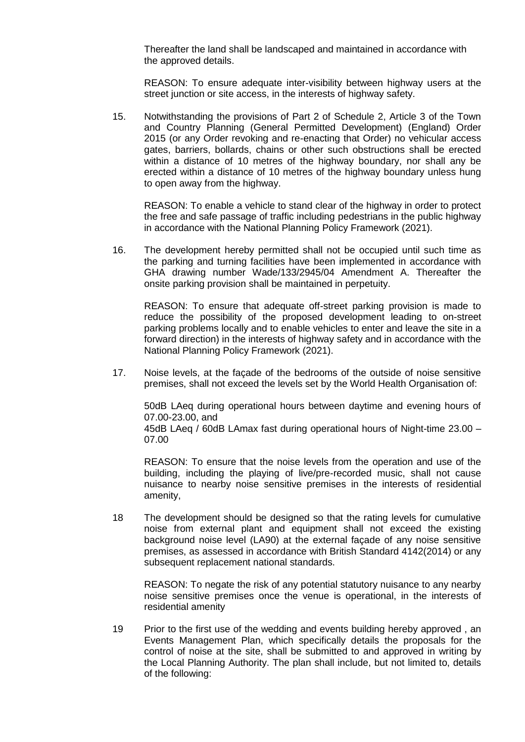Thereafter the land shall be landscaped and maintained in accordance with the approved details.

REASON: To ensure adequate inter-visibility between highway users at the street junction or site access, in the interests of highway safety.

15. Notwithstanding the provisions of Part 2 of Schedule 2, Article 3 of the Town and Country Planning (General Permitted Development) (England) Order 2015 (or any Order revoking and re-enacting that Order) no vehicular access gates, barriers, bollards, chains or other such obstructions shall be erected within a distance of 10 metres of the highway boundary, nor shall any be erected within a distance of 10 metres of the highway boundary unless hung to open away from the highway.

REASON: To enable a vehicle to stand clear of the highway in order to protect the free and safe passage of traffic including pedestrians in the public highway in accordance with the National Planning Policy Framework (2021).

16. The development hereby permitted shall not be occupied until such time as the parking and turning facilities have been implemented in accordance with GHA drawing number Wade/133/2945/04 Amendment A. Thereafter the onsite parking provision shall be maintained in perpetuity.

REASON: To ensure that adequate off-street parking provision is made to reduce the possibility of the proposed development leading to on-street parking problems locally and to enable vehicles to enter and leave the site in a forward direction) in the interests of highway safety and in accordance with the National Planning Policy Framework (2021).

17. Noise levels, at the façade of the bedrooms of the outside of noise sensitive premises, shall not exceed the levels set by the World Health Organisation of:

50dB LAeq during operational hours between daytime and evening hours of 07.00-23.00, and

45dB LAeq / 60dB LAmax fast during operational hours of Night-time 23.00 – 07.00

REASON: To ensure that the noise levels from the operation and use of the building, including the playing of live/pre-recorded music, shall not cause nuisance to nearby noise sensitive premises in the interests of residential amenity,

18 The development should be designed so that the rating levels for cumulative noise from external plant and equipment shall not exceed the existing background noise level (LA90) at the external façade of any noise sensitive premises, as assessed in accordance with British Standard 4142(2014) or any subsequent replacement national standards.

REASON: To negate the risk of any potential statutory nuisance to any nearby noise sensitive premises once the venue is operational, in the interests of residential amenity

19 Prior to the first use of the wedding and events building hereby approved , an Events Management Plan, which specifically details the proposals for the control of noise at the site, shall be submitted to and approved in writing by the Local Planning Authority. The plan shall include, but not limited to, details of the following: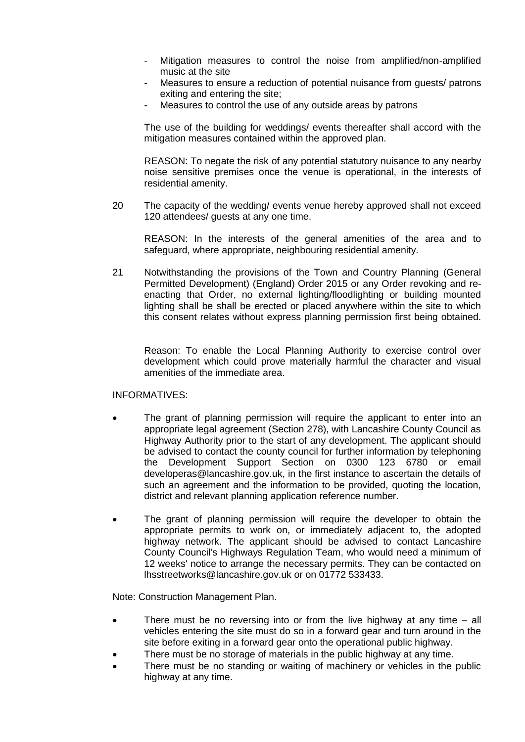- Mitigation measures to control the noise from amplified/non-amplified music at the site
- Measures to ensure a reduction of potential nuisance from quests/ patrons exiting and entering the site;
- Measures to control the use of any outside areas by patrons

The use of the building for weddings/ events thereafter shall accord with the mitigation measures contained within the approved plan.

REASON: To negate the risk of any potential statutory nuisance to any nearby noise sensitive premises once the venue is operational, in the interests of residential amenity.

20 The capacity of the wedding/ events venue hereby approved shall not exceed 120 attendees/ guests at any one time.

REASON: In the interests of the general amenities of the area and to safeguard, where appropriate, neighbouring residential amenity.

21 Notwithstanding the provisions of the Town and Country Planning (General Permitted Development) (England) Order 2015 or any Order revoking and reenacting that Order, no external lighting/floodlighting or building mounted lighting shall be shall be erected or placed anywhere within the site to which this consent relates without express planning permission first being obtained.

Reason: To enable the Local Planning Authority to exercise control over development which could prove materially harmful the character and visual amenities of the immediate area.

## INFORMATIVES:

- The grant of planning permission will require the applicant to enter into an appropriate legal agreement (Section 278), with Lancashire County Council as Highway Authority prior to the start of any development. The applicant should be advised to contact the county council for further information by telephoning the Development Support Section on 0300 123 6780 or email developeras@lancashire.gov.uk, in the first instance to ascertain the details of such an agreement and the information to be provided, quoting the location, district and relevant planning application reference number.
- The grant of planning permission will require the developer to obtain the appropriate permits to work on, or immediately adjacent to, the adopted highway network. The applicant should be advised to contact Lancashire County Council's Highways Regulation Team, who would need a minimum of 12 weeks' notice to arrange the necessary permits. They can be contacted on lhsstreetworks@lancashire.gov.uk or on 01772 533433.

Note: Construction Management Plan.

- There must be no reversing into or from the live highway at any time all vehicles entering the site must do so in a forward gear and turn around in the site before exiting in a forward gear onto the operational public highway.
- There must be no storage of materials in the public highway at any time.
- There must be no standing or waiting of machinery or vehicles in the public highway at any time.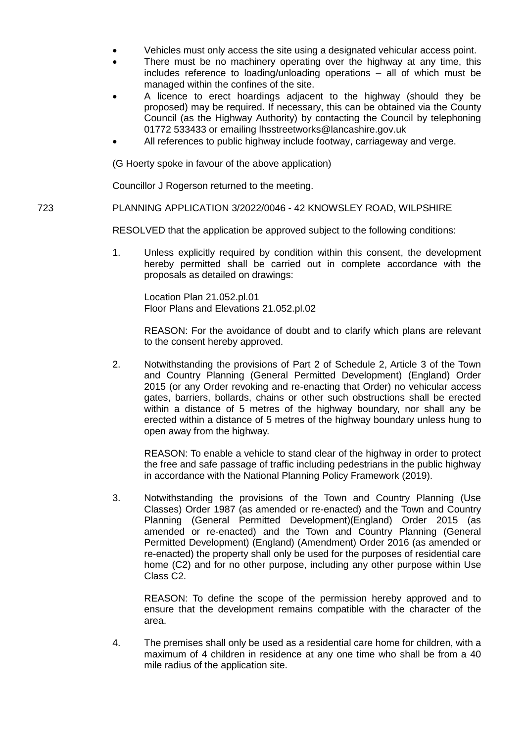- Vehicles must only access the site using a designated vehicular access point.
- There must be no machinery operating over the highway at any time, this includes reference to loading/unloading operations – all of which must be managed within the confines of the site.
- A licence to erect hoardings adjacent to the highway (should they be proposed) may be required. If necessary, this can be obtained via the County Council (as the Highway Authority) by contacting the Council by telephoning 01772 533433 or emailing lhsstreetworks@lancashire.gov.uk
- All references to public highway include footway, carriageway and verge.

(G Hoerty spoke in favour of the above application)

Councillor J Rogerson returned to the meeting.

## 723 PLANNING APPLICATION 3/2022/0046 - 42 KNOWSLEY ROAD, WILPSHIRE

RESOLVED that the application be approved subject to the following conditions:

1. Unless explicitly required by condition within this consent, the development hereby permitted shall be carried out in complete accordance with the proposals as detailed on drawings:

Location Plan 21.052.pl.01 Floor Plans and Elevations 21.052.pl.02

REASON: For the avoidance of doubt and to clarify which plans are relevant to the consent hereby approved.

2. Notwithstanding the provisions of Part 2 of Schedule 2, Article 3 of the Town and Country Planning (General Permitted Development) (England) Order 2015 (or any Order revoking and re-enacting that Order) no vehicular access gates, barriers, bollards, chains or other such obstructions shall be erected within a distance of 5 metres of the highway boundary, nor shall any be erected within a distance of 5 metres of the highway boundary unless hung to open away from the highway.

REASON: To enable a vehicle to stand clear of the highway in order to protect the free and safe passage of traffic including pedestrians in the public highway in accordance with the National Planning Policy Framework (2019).

3. Notwithstanding the provisions of the Town and Country Planning (Use Classes) Order 1987 (as amended or re-enacted) and the Town and Country Planning (General Permitted Development)(England) Order 2015 (as amended or re-enacted) and the Town and Country Planning (General Permitted Development) (England) (Amendment) Order 2016 (as amended or re-enacted) the property shall only be used for the purposes of residential care home (C2) and for no other purpose, including any other purpose within Use Class C2.

REASON: To define the scope of the permission hereby approved and to ensure that the development remains compatible with the character of the area.

4. The premises shall only be used as a residential care home for children, with a maximum of 4 children in residence at any one time who shall be from a 40 mile radius of the application site.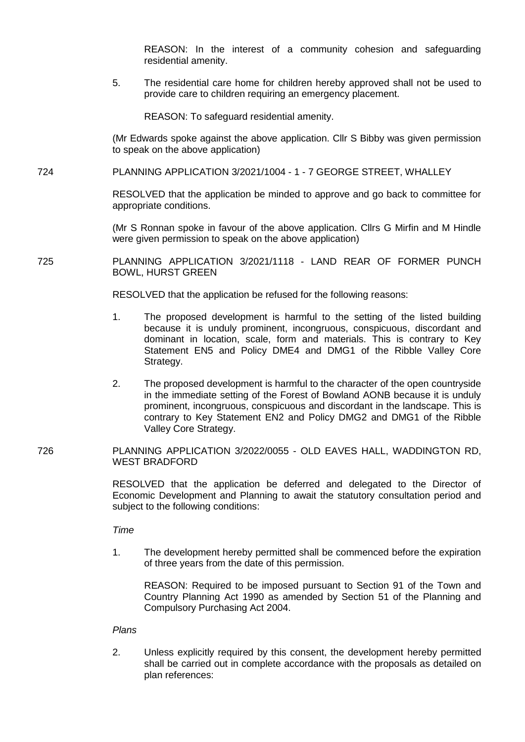REASON: In the interest of a community cohesion and safeguarding residential amenity.

5. The residential care home for children hereby approved shall not be used to provide care to children requiring an emergency placement.

REASON: To safeguard residential amenity.

(Mr Edwards spoke against the above application. Cllr S Bibby was given permission to speak on the above application)

724 PLANNING APPLICATION 3/2021/1004 - 1 - 7 GEORGE STREET, WHALLEY

RESOLVED that the application be minded to approve and go back to committee for appropriate conditions.

(Mr S Ronnan spoke in favour of the above application. Cllrs G Mirfin and M Hindle were given permission to speak on the above application)

725 PLANNING APPLICATION 3/2021/1118 - LAND REAR OF FORMER PUNCH BOWL, HURST GREEN

RESOLVED that the application be refused for the following reasons:

- 1. The proposed development is harmful to the setting of the listed building because it is unduly prominent, incongruous, conspicuous, discordant and dominant in location, scale, form and materials. This is contrary to Key Statement EN5 and Policy DME4 and DMG1 of the Ribble Valley Core Strategy.
- 2. The proposed development is harmful to the character of the open countryside in the immediate setting of the Forest of Bowland AONB because it is unduly prominent, incongruous, conspicuous and discordant in the landscape. This is contrary to Key Statement EN2 and Policy DMG2 and DMG1 of the Ribble Valley Core Strategy.
- 726 PLANNING APPLICATION 3/2022/0055 OLD EAVES HALL, WADDINGTON RD, WEST BRADFORD

RESOLVED that the application be deferred and delegated to the Director of Economic Development and Planning to await the statutory consultation period and subject to the following conditions:

*Time*

1. The development hereby permitted shall be commenced before the expiration of three years from the date of this permission.

REASON: Required to be imposed pursuant to Section 91 of the Town and Country Planning Act 1990 as amended by Section 51 of the Planning and Compulsory Purchasing Act 2004.

#### *Plans*

2. Unless explicitly required by this consent, the development hereby permitted shall be carried out in complete accordance with the proposals as detailed on plan references: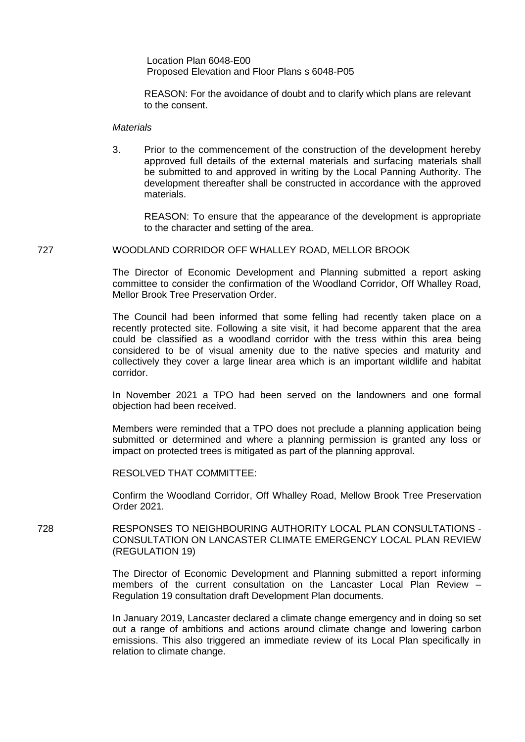Location Plan 6048-E00 Proposed Elevation and Floor Plans s 6048-P05

REASON: For the avoidance of doubt and to clarify which plans are relevant to the consent.

#### *Materials*

3. Prior to the commencement of the construction of the development hereby approved full details of the external materials and surfacing materials shall be submitted to and approved in writing by the Local Panning Authority. The development thereafter shall be constructed in accordance with the approved materials.

REASON: To ensure that the appearance of the development is appropriate to the character and setting of the area.

#### 727 WOODLAND CORRIDOR OFF WHALLEY ROAD, MELLOR BROOK

The Director of Economic Development and Planning submitted a report asking committee to consider the confirmation of the Woodland Corridor, Off Whalley Road, Mellor Brook Tree Preservation Order.

The Council had been informed that some felling had recently taken place on a recently protected site. Following a site visit, it had become apparent that the area could be classified as a woodland corridor with the tress within this area being considered to be of visual amenity due to the native species and maturity and collectively they cover a large linear area which is an important wildlife and habitat corridor.

In November 2021 a TPO had been served on the landowners and one formal objection had been received.

Members were reminded that a TPO does not preclude a planning application being submitted or determined and where a planning permission is granted any loss or impact on protected trees is mitigated as part of the planning approval.

RESOLVED THAT COMMITTEE:

Confirm the Woodland Corridor, Off Whalley Road, Mellow Brook Tree Preservation Order 2021.

728 RESPONSES TO NEIGHBOURING AUTHORITY LOCAL PLAN CONSULTATIONS - CONSULTATION ON LANCASTER CLIMATE EMERGENCY LOCAL PLAN REVIEW (REGULATION 19)

> The Director of Economic Development and Planning submitted a report informing members of the current consultation on the Lancaster Local Plan Review – Regulation 19 consultation draft Development Plan documents.

> In January 2019, Lancaster declared a climate change emergency and in doing so set out a range of ambitions and actions around climate change and lowering carbon emissions. This also triggered an immediate review of its Local Plan specifically in relation to climate change.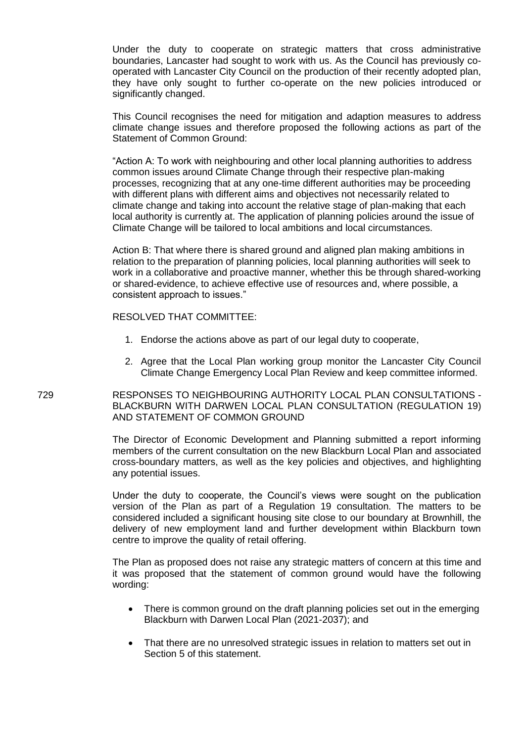Under the duty to cooperate on strategic matters that cross administrative boundaries, Lancaster had sought to work with us. As the Council has previously cooperated with Lancaster City Council on the production of their recently adopted plan, they have only sought to further co-operate on the new policies introduced or significantly changed.

This Council recognises the need for mitigation and adaption measures to address climate change issues and therefore proposed the following actions as part of the Statement of Common Ground:

"Action A: To work with neighbouring and other local planning authorities to address common issues around Climate Change through their respective plan-making processes, recognizing that at any one-time different authorities may be proceeding with different plans with different aims and objectives not necessarily related to climate change and taking into account the relative stage of plan-making that each local authority is currently at. The application of planning policies around the issue of Climate Change will be tailored to local ambitions and local circumstances.

Action B: That where there is shared ground and aligned plan making ambitions in relation to the preparation of planning policies, local planning authorities will seek to work in a collaborative and proactive manner, whether this be through shared-working or shared-evidence, to achieve effective use of resources and, where possible, a consistent approach to issues."

#### RESOLVED THAT COMMITTEE:

- 1. Endorse the actions above as part of our legal duty to cooperate,
- 2. Agree that the Local Plan working group monitor the Lancaster City Council Climate Change Emergency Local Plan Review and keep committee informed.

## 729 RESPONSES TO NEIGHBOURING AUTHORITY LOCAL PLAN CONSULTATIONS - BLACKBURN WITH DARWEN LOCAL PLAN CONSULTATION (REGULATION 19) AND STATEMENT OF COMMON GROUND

The Director of Economic Development and Planning submitted a report informing members of the current consultation on the new Blackburn Local Plan and associated cross-boundary matters, as well as the key policies and objectives, and highlighting any potential issues.

Under the duty to cooperate, the Council's views were sought on the publication version of the Plan as part of a Regulation 19 consultation. The matters to be considered included a significant housing site close to our boundary at Brownhill, the delivery of new employment land and further development within Blackburn town centre to improve the quality of retail offering.

The Plan as proposed does not raise any strategic matters of concern at this time and it was proposed that the statement of common ground would have the following wording:

- There is common ground on the draft planning policies set out in the emerging Blackburn with Darwen Local Plan (2021-2037); and
- That there are no unresolved strategic issues in relation to matters set out in Section 5 of this statement.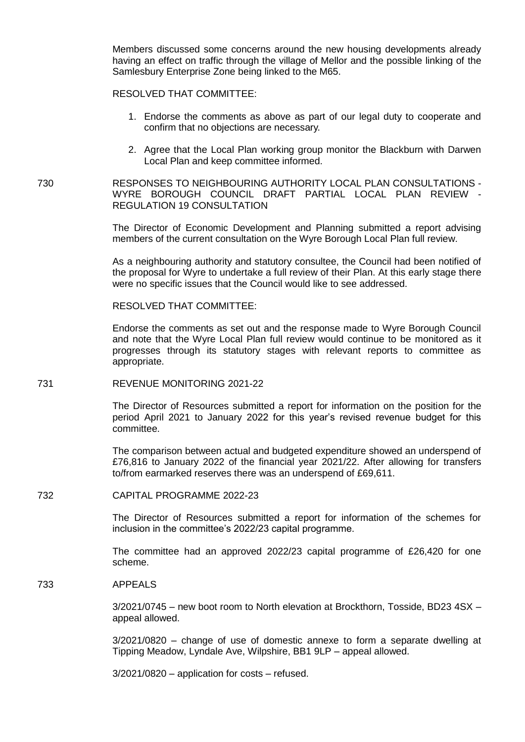Members discussed some concerns around the new housing developments already having an effect on traffic through the village of Mellor and the possible linking of the Samlesbury Enterprise Zone being linked to the M65.

## RESOLVED THAT COMMITTEE:

- 1. Endorse the comments as above as part of our legal duty to cooperate and confirm that no objections are necessary.
- 2. Agree that the Local Plan working group monitor the Blackburn with Darwen Local Plan and keep committee informed.

730 RESPONSES TO NEIGHBOURING AUTHORITY LOCAL PLAN CONSULTATIONS - WYRE BOROUGH COUNCIL DRAFT PARTIAL LOCAL PLAN REVIEW - REGULATION 19 CONSULTATION

> The Director of Economic Development and Planning submitted a report advising members of the current consultation on the Wyre Borough Local Plan full review.

> As a neighbouring authority and statutory consultee, the Council had been notified of the proposal for Wyre to undertake a full review of their Plan. At this early stage there were no specific issues that the Council would like to see addressed.

RESOLVED THAT COMMITTEE:

Endorse the comments as set out and the response made to Wyre Borough Council and note that the Wyre Local Plan full review would continue to be monitored as it progresses through its statutory stages with relevant reports to committee as appropriate.

#### 731 REVENUE MONITORING 2021-22

The Director of Resources submitted a report for information on the position for the period April 2021 to January 2022 for this year's revised revenue budget for this committee.

The comparison between actual and budgeted expenditure showed an underspend of £76,816 to January 2022 of the financial year 2021/22. After allowing for transfers to/from earmarked reserves there was an underspend of £69,611.

#### 732 CAPITAL PROGRAMME 2022-23

The Director of Resources submitted a report for information of the schemes for inclusion in the committee's 2022/23 capital programme.

The committee had an approved 2022/23 capital programme of £26,420 for one scheme.

### 733 APPEALS

3/2021/0745 – new boot room to North elevation at Brockthorn, Tosside, BD23 4SX – appeal allowed.

3/2021/0820 – change of use of domestic annexe to form a separate dwelling at Tipping Meadow, Lyndale Ave, Wilpshire, BB1 9LP – appeal allowed.

3/2021/0820 – application for costs – refused.